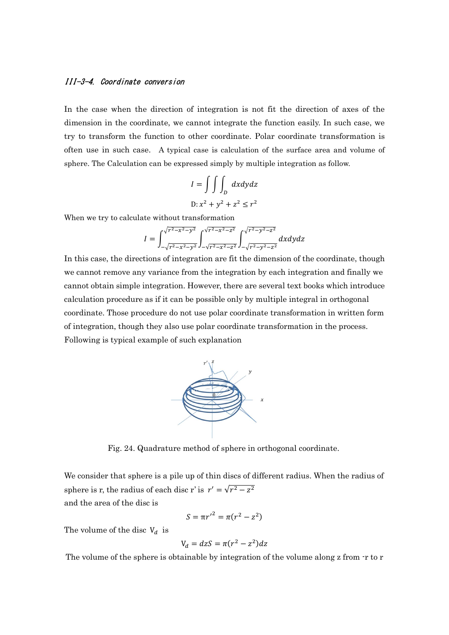## III-3-4. Coordinate conversion

In the case when the direction of integration is not fit the direction of axes of the dimension in the coordinate, we cannot integrate the function easily. In such case, we try to transform the function to other coordinate. Polar coordinate transformation is often use in such case. A typical case is calculation of the surface area and volume of sphere. The Calculation can be expressed simply by multiple integration as follow.

$$
I = \iiint_D dxdydz
$$
  
D:  $x^2 + y^2 + z^2 \le r^2$ 

When we try to calculate without transformation

$$
I = \int_{-\sqrt{r^2 - x^2 - y^2}}^{\sqrt{r^2 - x^2 - y^2}} \int_{-\sqrt{r^2 - x^2 - z^2}}^{\sqrt{r^2 - x^2 - z^2}} \int_{-\sqrt{r^2 - y^2 - z^2}}^{\sqrt{r^2 - y^2 - z^2}} dx dy dz
$$

In this case, the directions of integration are fit the dimension of the coordinate, though we cannot remove any variance from the integration by each integration and finally we cannot obtain simple integration. However, there are several text books which introduce calculation procedure as if it can be possible only by multiple integral in orthogonal coordinate. Those procedure do not use polar coordinate transformation in written form of integration, though they also use polar coordinate transformation in the process. Following is typical example of such explanation



Fig. 24. Quadrature method of sphere in orthogonal coordinate.

We consider that sphere is a pile up of thin discs of different radius. When the radius of sphere is r, the radius of each disc r' is  $r' = \sqrt{r^2 - z^2}$ and the area of the disc is

$$
S = \pi {r'}^2 = \pi (r^2 - z^2)
$$

The volume of the disc  $V_d$  is

$$
V_d = dzS = \pi(r^2 - z^2)dz
$$

The volume of the sphere is obtainable by integration of the volume along z from -r to r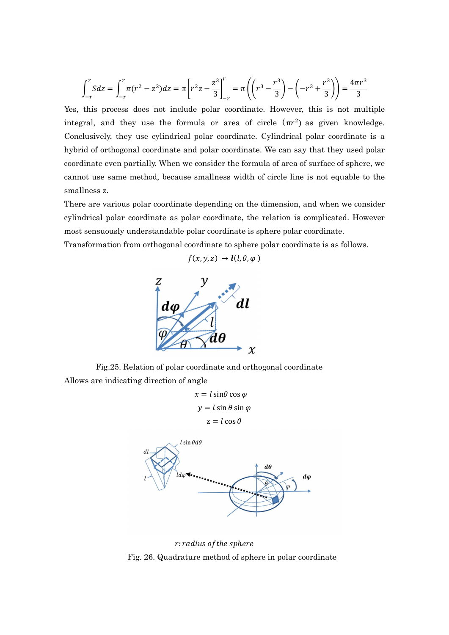$$
\int_{-r}^{r} S dz = \int_{-r}^{r} \pi (r^2 - z^2) dz = \pi \left[ r^2 z - \frac{z^3}{3} \right]_{-r}^{r} = \pi \left( \left( r^3 - \frac{r^3}{3} \right) - \left( -r^3 + \frac{r^3}{3} \right) \right) = \frac{4\pi r^3}{3}
$$

Yes, this process does not include polar coordinate. However, this is not multiple integral, and they use the formula or area of circle  $(\pi r^2)$  as given knowledge. Conclusively, they use cylindrical polar coordinate. Cylindrical polar coordinate is a hybrid of orthogonal coordinate and polar coordinate. We can say that they used polar coordinate even partially. When we consider the formula of area of surface of sphere, we cannot use same method, because smallness width of circle line is not equable to the smallness z.

There are various polar coordinate depending on the dimension, and when we consider cylindrical polar coordinate as polar coordinate, the relation is complicated. However most sensuously understandable polar coordinate is sphere polar coordinate.

 $f(x, y, z) \rightarrow l(l, \theta, \varphi)$ 

Transformation from orthogonal coordinate to sphere polar coordinate is as follows.



Fig.25. Relation of polar coordinate and orthogonal coordinate Allows are indicating direction of angle

 $x = l \sin \theta \cos \varphi$  $y = l \sin \theta \sin \varphi$  $z = l \cos \theta$ 



r: radius of the sphere Fig. 26. Quadrature method of sphere in polar coordinate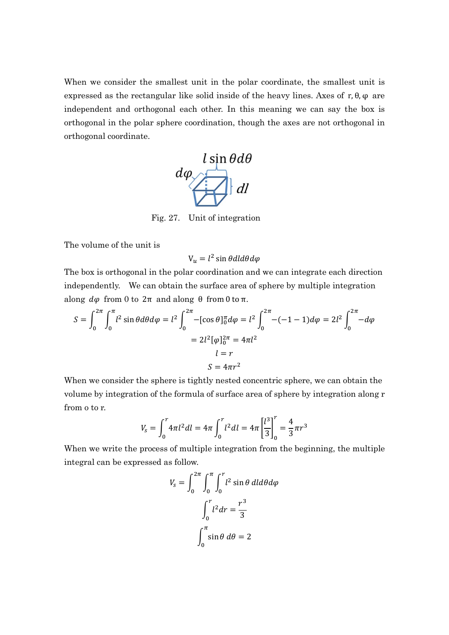When we consider the smallest unit in the polar coordinate, the smallest unit is expressed as the rectangular like solid inside of the heavy lines. Axes of  $r, \theta, \varphi$  are independent and orthogonal each other. In this meaning we can say the box is orthogonal in the polar sphere coordination, though the axes are not orthogonal in orthogonal coordinate.



Fig. 27. Unit of integration

The volume of the unit is

 $V_{\nu} = l^2 \sin \theta dl d\theta d\varphi$ 

The box is orthogonal in the polar coordination and we can integrate each direction independently. We can obtain the surface area of sphere by multiple integration along  $d\varphi$  from 0 to  $2\pi$  and along θ from 0 to π.

$$
S = \int_0^{2\pi} \int_0^{\pi} l^2 \sin \theta d\theta d\varphi = l^2 \int_0^{2\pi} -[\cos \theta]_0^{\pi} d\varphi = l^2 \int_0^{2\pi} -(-1 - 1) d\varphi = 2l^2 \int_0^{2\pi} -d\varphi
$$
  
=  $2l^2 [\varphi]_0^{2\pi} = 4\pi l^2$   
 $l = r$   
 $S = 4\pi r^2$ 

When we consider the sphere is tightly nested concentric sphere, we can obtain the volume by integration of the formula of surface area of sphere by integration along r from o to r.

$$
V_s = \int_0^r 4\pi l^2 dl = 4\pi \int_0^r l^2 dl = 4\pi \left[\frac{l^3}{3}\right]_0^r = \frac{4}{3}\pi r^3
$$

When we write the process of multiple integration from the beginning, the multiple integral can be expressed as follow.

$$
V_s = \int_0^{2\pi} \int_0^{\pi} \int_0^r l^2 \sin \theta \, dl d\theta d\varphi
$$

$$
\int_0^r l^2 dr = \frac{r^3}{3}
$$

$$
\int_0^{\pi} \sin \theta \, d\theta = 2
$$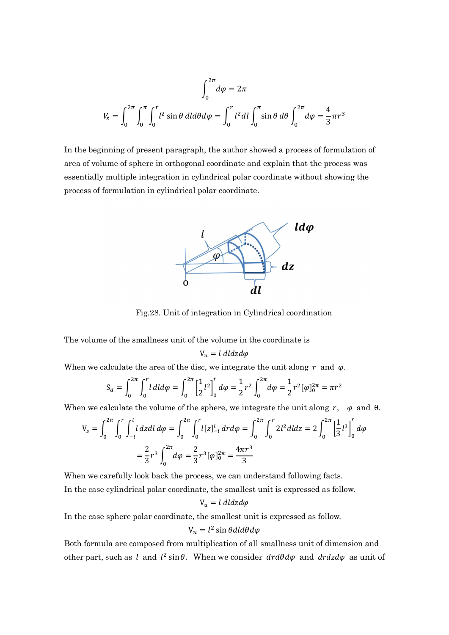$$
\int_0^{2\pi} d\varphi = 2\pi
$$
  

$$
V_s = \int_0^{2\pi} \int_0^{\pi} \int_0^r l^2 \sin\theta \, dl d\theta d\varphi = \int_0^r l^2 dl \int_0^{\pi} \sin\theta \, d\theta \int_0^{2\pi} d\varphi = \frac{4}{3}\pi r^3
$$

In the beginning of present paragraph, the author showed a process of formulation of area of volume of sphere in orthogonal coordinate and explain that the process was essentially multiple integration in cylindrical polar coordinate without showing the process of formulation in cylindrical polar coordinate.



Fig.28. Unit of integration in Cylindrical coordination

The volume of the smallness unit of the volume in the coordinate is

$$
V_u = l \; dl dz d\varphi
$$

When we calculate the area of the disc, we integrate the unit along  $r$  and  $\varphi$ .

$$
S_d = \int_0^{2\pi} \int_0^r l \, dl \, d\varphi = \int_0^{2\pi} \left[ \frac{1}{2} l^2 \right]_0^r d\varphi = \frac{1}{2} r^2 \int_0^{2\pi} d\varphi = \frac{1}{2} r^2 [\varphi]_0^{2\pi} = \pi r^2
$$

When we calculate the volume of the sphere, we integrate the unit along r,  $\varphi$  and  $\theta$ .

$$
V_s = \int_0^{2\pi} \int_0^r \int_{-l}^l l \, dz \, dl \, d\varphi = \int_0^{2\pi} \int_0^r l[z]_{-l}^l \, dr \, d\varphi = \int_0^{2\pi} \int_0^r 2l^2 \, dl \, dz = 2 \int_0^{2\pi} \left[ \frac{1}{3} l^3 \right]_0^r \, d\varphi
$$
\n
$$
= \frac{2}{3} r^3 \int_0^{2\pi} d\varphi = \frac{2}{3} r^3 [\varphi]_0^{2\pi} = \frac{4\pi r^3}{3}
$$

When we carefully look back the process, we can understand following facts. In the case cylindrical polar coordinate, the smallest unit is expressed as follow.

$$
V_u = l \; dl dz d\varphi
$$

In the case sphere polar coordinate, the smallest unit is expressed as follow.

$$
V_u = l^2 \sin \theta dl d\theta d\varphi
$$

Both formula are composed from multiplication of all smallness unit of dimension and other part, such as l and  $l^2 \sin \theta$ . When we consider  $dr d\theta d\varphi$  and  $dr dz d\varphi$  as unit of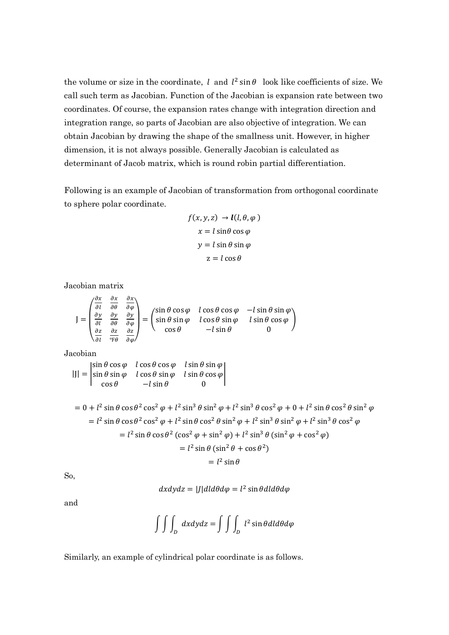the volume or size in the coordinate, l and  $l^2 \sin \theta$  look like coefficients of size. We call such term as Jacobian. Function of the Jacobian is expansion rate between two coordinates. Of course, the expansion rates change with integration direction and integration range, so parts of Jacobian are also objective of integration. We can obtain Jacobian by drawing the shape of the smallness unit. However, in higher dimension, it is not always possible. Generally Jacobian is calculated as determinant of Jacob matrix, which is round robin partial differentiation.

Following is an example of Jacobian of transformation from orthogonal coordinate to sphere polar coordinate.

$$
f(x, y, z) \rightarrow l(l, \theta, \varphi)
$$

$$
x = l \sin \theta \cos \varphi
$$

$$
y = l \sin \theta \sin \varphi
$$

$$
z = l \cos \theta
$$

Jacobian matrix

$$
J = \begin{pmatrix} \frac{\partial x}{\partial t} & \frac{\partial x}{\partial \theta} & \frac{\partial x}{\partial \varphi} \\ \frac{\partial y}{\partial t} & \frac{\partial y}{\partial \theta} & \frac{\partial y}{\partial \varphi} \\ \frac{\partial z}{\partial t} & \frac{\partial z}{\partial \theta} & \frac{\partial z}{\partial \varphi} \end{pmatrix} = \begin{pmatrix} \sin \theta \cos \varphi & l \cos \theta \cos \varphi & -l \sin \theta \sin \varphi \\ \sin \theta \sin \varphi & l \cos \theta \sin \varphi & l \sin \theta \cos \varphi \\ \cos \theta & -l \sin \theta & 0 \end{pmatrix}
$$

Jacobian

$$
|J| = \begin{vmatrix} \sin \theta \cos \varphi & l \cos \theta \cos \varphi & l \sin \theta \sin \varphi \\ \sin \theta \sin \varphi & l \cos \theta \sin \varphi & l \sin \theta \cos \varphi \\ \cos \theta & -l \sin \theta & 0 \end{vmatrix}
$$

$$
= 0 + l2 sin \theta cos \theta2 cos2 \varphi + l2 sin3 \theta sin2 \varphi + l2 sin3 \theta cos2 \varphi + 0 + l2 sin \theta cos2 \theta sin2 \varphi
$$
  
\n
$$
= l2 sin \theta cos \theta2 cos2 \varphi + l2 sin \theta cos2 \theta sin2 \varphi + l2 sin3 \theta sin2 \varphi + l2 sin3 \theta cos2 \varphi
$$
  
\n
$$
= l2 sin \theta cos \theta2 (cos2 \varphi + sin2 \varphi) + l2 sin3 \theta (sin2 \varphi + cos2 \varphi)
$$
  
\n
$$
= l2 sin \theta (sin2 \theta + cos \theta2)
$$
  
\n
$$
= l2 sin \theta
$$

So,

$$
dxdydz = |J|d\theta d\varphi = l^2 \sin\theta d\theta d\varphi
$$

and

$$
\int \int \int_D dx dy dz = \int \int \int_D l^2 \sin \theta dl d\theta d\varphi
$$

Similarly, an example of cylindrical polar coordinate is as follows.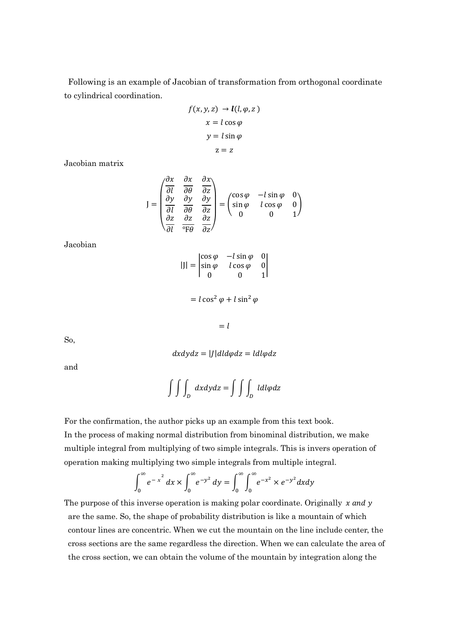Following is an example of Jacobian of transformation from orthogonal coordinate to cylindrical coordination.

$$
f(x, y, z) \rightarrow l(l, \varphi, z)
$$

$$
x = l \cos \varphi
$$

$$
y = l \sin \varphi
$$

$$
z = z
$$

Jacobian matrix

$$
J = \begin{pmatrix} \frac{\partial x}{\partial l} & \frac{\partial x}{\partial \theta} & \frac{\partial x}{\partial z} \\ \frac{\partial y}{\partial l} & \frac{\partial y}{\partial \theta} & \frac{\partial y}{\partial z} \\ \frac{\partial z}{\partial l} & \frac{\partial z}{\partial \theta} & \frac{\partial z}{\partial z} \end{pmatrix} = \begin{pmatrix} \cos \varphi & -l \sin \varphi & 0 \\ \sin \varphi & l \cos \varphi & 0 \\ 0 & 0 & 1 \end{pmatrix}
$$

Jacobian

$$
|J| = \begin{vmatrix} \cos \varphi & -l \sin \varphi & 0 \\ \sin \varphi & l \cos \varphi & 0 \\ 0 & 0 & 1 \end{vmatrix}
$$

$$
= l \cos^2 \varphi + l \sin^2 \varphi
$$

 $= l$ 

So,

$$
dx dy dz = |J| dl d\varphi dz = l dl \varphi dz
$$

and

$$
\int \int \int_D dx dy dz = \int \int \int_D l dl \varphi dz
$$

For the confirmation, the author picks up an example from this text book.

In the process of making normal distribution from binominal distribution, we make multiple integral from multiplying of two simple integrals. This is invers operation of operation making multiplying two simple integrals from multiple integral.

$$
\int_0^{\infty} e^{-x^2} dx \times \int_0^{\infty} e^{-y^2} dy = \int_0^{\infty} \int_0^{\infty} e^{-x^2} \times e^{-y^2} dx dy
$$

The purpose of this inverse operation is making polar coordinate. Originally  $x$  and  $y$ are the same. So, the shape of probability distribution is like a mountain of which contour lines are concentric. When we cut the mountain on the line include center, the cross sections are the same regardless the direction. When we can calculate the area of the cross section, we can obtain the volume of the mountain by integration along the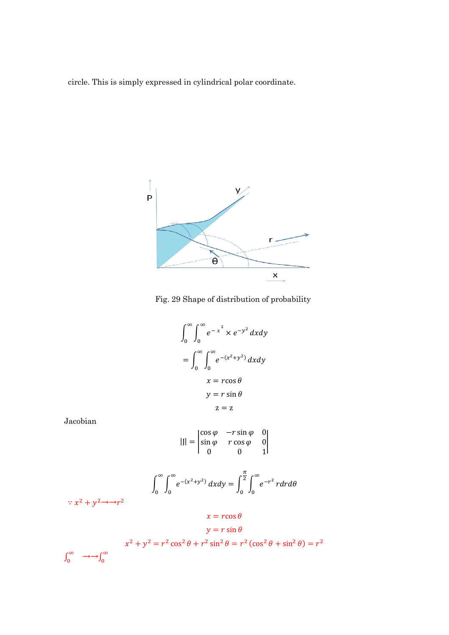circle. This is simply expressed in cylindrical polar coordinate.





$$
\int_0^\infty \int_0^\infty e^{-x^2} \times e^{-y^2} dx dy
$$

$$
= \int_0^\infty \int_0^\infty e^{-(x^2 + y^2)} dx dy
$$

$$
x = r \cos \theta
$$

$$
y = r \sin \theta
$$

$$
z = z
$$

Jacobian

$$
|J| = \begin{vmatrix} \cos \varphi & -r \sin \varphi & 0 \\ \sin \varphi & r \cos \varphi & 0 \\ 0 & 0 & 1 \end{vmatrix}
$$

$$
\int_0^\infty \int_0^\infty e^{-(x^2+y^2)} dx dy = \int_0^{\frac{\pi}{2}} \int_0^\infty e^{-r^2} r dr d\theta
$$

 $\therefore$   $x^2 + y^2 \rightarrow r^2$ 

$$
x=r\cos\theta
$$

$$
y = r \sin \theta
$$
  

$$
x^2 + y^2 = r^2 \cos^2 \theta + r^2 \sin^2 \theta = r^2 (\cos^2 \theta + \sin^2 \theta) = r^2
$$
  

$$
\int_0^\infty \longrightarrow \int_0^\infty
$$